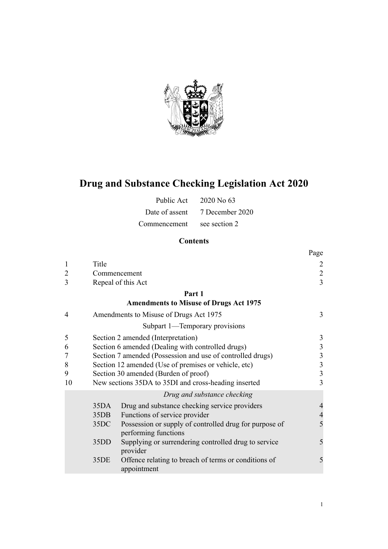

# **Drug and Substance Checking Legislation Act 2020**

| Public Act     | 2020 No 63      |
|----------------|-----------------|
| Date of assent | 7 December 2020 |
| Commencement   | see section 2   |

# **Contents**

|                |                                                                |                                                                                | Page           |  |
|----------------|----------------------------------------------------------------|--------------------------------------------------------------------------------|----------------|--|
| $\mathbf{1}$   | Title                                                          |                                                                                | 2              |  |
| 2              |                                                                | Commencement                                                                   | $\overline{c}$ |  |
| 3              |                                                                | Repeal of this Act                                                             | $\overline{3}$ |  |
|                |                                                                | Part 1                                                                         |                |  |
|                |                                                                | <b>Amendments to Misuse of Drugs Act 1975</b>                                  |                |  |
| $\overline{4}$ |                                                                | Amendments to Misuse of Drugs Act 1975                                         | 3              |  |
|                |                                                                | Subpart 1—Temporary provisions                                                 |                |  |
| 5              | Section 2 amended (Interpretation)                             |                                                                                |                |  |
| 6              | Section 6 amended (Dealing with controlled drugs)              |                                                                                |                |  |
| 7              | Section 7 amended (Possession and use of controlled drugs)     |                                                                                |                |  |
| 8              | Section 12 amended (Use of premises or vehicle, etc)           |                                                                                |                |  |
| 9              | Section 30 amended (Burden of proof)                           |                                                                                |                |  |
| 10             | 3<br>New sections 35DA to 35DI and cross-heading inserted<br>3 |                                                                                |                |  |
|                |                                                                | Drug and substance checking                                                    |                |  |
|                | 35DA                                                           | Drug and substance checking service providers                                  | $\overline{4}$ |  |
|                | 35DB                                                           | Functions of service provider                                                  | $\overline{4}$ |  |
|                | 35DC                                                           | Possession or supply of controlled drug for purpose of<br>performing functions | 5              |  |
|                | 35DD                                                           | Supplying or surrendering controlled drug to service<br>provider               | 5              |  |
|                | 35DE                                                           | Offence relating to breach of terms or conditions of<br>appointment            | 5              |  |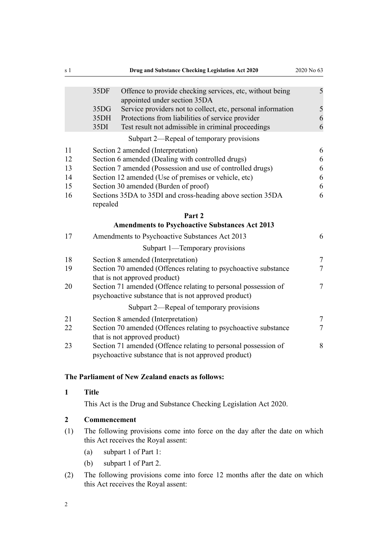<span id="page-1-0"></span>

| s 1 |                                                                 | Drug and Substance Checking Legislation Act 2020                                                                       | 2020 No 63     |
|-----|-----------------------------------------------------------------|------------------------------------------------------------------------------------------------------------------------|----------------|
|     |                                                                 |                                                                                                                        |                |
|     | 35DF                                                            | Offence to provide checking services, etc, without being<br>appointed under section 35DA                               | 5              |
|     | 35DG                                                            | Service providers not to collect, etc, personal information                                                            | 5              |
|     | 35DH                                                            | Protections from liabilities of service provider                                                                       | 6              |
|     | 35DI                                                            | Test result not admissible in criminal proceedings                                                                     | 6              |
|     |                                                                 | Subpart 2—Repeal of temporary provisions                                                                               |                |
| 11  | Section 2 amended (Interpretation)<br>6                         |                                                                                                                        |                |
| 12  | Section 6 amended (Dealing with controlled drugs)<br>6          |                                                                                                                        |                |
| 13  | Section 7 amended (Possession and use of controlled drugs)<br>6 |                                                                                                                        |                |
| 14  | Section 12 amended (Use of premises or vehicle, etc)<br>6       |                                                                                                                        |                |
| 15  | Section 30 amended (Burden of proof)<br>6                       |                                                                                                                        |                |
| 16  | Sections 35DA to 35DI and cross-heading above section 35DA<br>6 |                                                                                                                        |                |
|     | repealed                                                        |                                                                                                                        |                |
|     |                                                                 | Part 2                                                                                                                 |                |
|     |                                                                 | <b>Amendments to Psychoactive Substances Act 2013</b>                                                                  |                |
| 17  |                                                                 | Amendments to Psychoactive Substances Act 2013                                                                         | 6              |
|     |                                                                 | Subpart 1—Temporary provisions                                                                                         |                |
| 18  |                                                                 | Section 8 amended (Interpretation)                                                                                     | $\tau$         |
| 19  |                                                                 | Section 70 amended (Offences relating to psychoactive substance<br>that is not approved product)                       | $\overline{7}$ |
| 20  |                                                                 | Section 71 amended (Offence relating to personal possession of<br>psychoactive substance that is not approved product) | $\overline{7}$ |
|     |                                                                 | Subpart 2—Repeal of temporary provisions                                                                               |                |
| 21  |                                                                 | Section 8 amended (Interpretation)                                                                                     | $\tau$         |
| 22  |                                                                 | Section 70 amended (Offences relating to psychoactive substance<br>that is not approved product)                       | 7              |
| 23  |                                                                 | Section 71 amended (Offence relating to personal possession of<br>psychoactive substance that is not approved product) | 8              |

# **The Parliament of New Zealand enacts as follows:**

#### **1 Title**

This Act is the Drug and Substance Checking Legislation Act 2020.

# **2 Commencement**

- (1) The following provisions come into force on the day after the date on which this Act receives the Royal assent:
	- (a) [subpart 1](#page-2-0) of Part 1:
	- (b) [subpart 1](#page-6-0) of Part 2.
- (2) The following provisions come into force 12 months after the date on which this Act receives the Royal assent: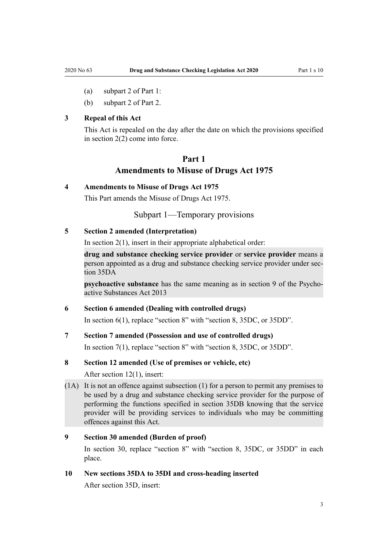- <span id="page-2-0"></span>(a) [subpart 2](#page-5-0) of Part 1:
- (b) [subpart 2](#page-6-0) of Part 2.

# **3 Repeal of this Act**

This Act is repealed on the day after the date on which the provisions specified in [section 2\(2\)](#page-1-0) come into force.

# **Part 1 Amendments to Misuse of Drugs Act 1975**

#### **4 Amendments to Misuse of Drugs Act 1975**

This Part amends the [Misuse of Drugs Act 1975.](http://legislation.govt.nz/pdflink.aspx?id=DLM436100)

Subpart 1—Temporary provisions

# **5 Section 2 amended (Interpretation)**

In section  $2(1)$ , insert in their appropriate alphabetical order:

**drug and substance checking service provider** or **service provider** means a person appointed as a drug and substance checking service provider under section 35DA

**psychoactive substance** has the same meaning as in section 9 of the Psychoactive Substances Act 2013

### **6 Section 6 amended (Dealing with controlled drugs)**

In [section 6\(1\)](http://legislation.govt.nz/pdflink.aspx?id=DLM436222), replace "section 8" with "section 8, 35DC, or 35DD".

# **7 Section 7 amended (Possession and use of controlled drugs)**

In [section 7\(1\)](http://legislation.govt.nz/pdflink.aspx?id=DLM436239), replace "section 8" with "section 8, 35DC, or 35DD".

# **8 Section 12 amended (Use of premises or vehicle, etc)**

After [section 12\(1\),](http://legislation.govt.nz/pdflink.aspx?id=DLM436276) insert:

(1A) It is not an offence against subsection (1) for a person to permit any premises to be used by a drug and substance checking service provider for the purpose of performing the functions specified in section 35DB knowing that the service provider will be providing services to individuals who may be committing offences against this Act.

#### **9 Section 30 amended (Burden of proof)**

In section 30, replace "section 8" with "section 8, 35DC, or 35DD" in each place.

#### **10 New sections 35DA to 35DI and cross-heading inserted**

After [section 35D,](http://legislation.govt.nz/pdflink.aspx?id=DLM436555) insert: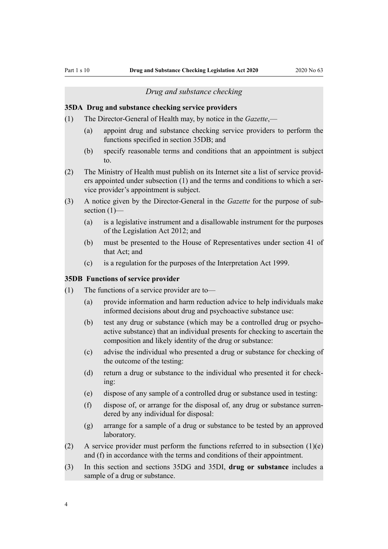#### *Drug and substance checking*

#### <span id="page-3-0"></span>**35DA Drug and substance checking service providers**

- (1) The Director-General of Health may, by notice in the *Gazette*,—
	- (a) appoint drug and substance checking service providers to perform the functions specified in section 35DB; and
	- (b) specify reasonable terms and conditions that an appointment is subject to.
- (2) The Ministry of Health must publish on its Internet site a list of service providers appointed under subsection (1) and the terms and conditions to which a service provider's appointment is subject.
- (3) A notice given by the Director-General in the *Gazette* for the purpose of subsection  $(1)$ —
	- (a) is a legislative instrument and a disallowable instrument for the purposes of the Legislation Act 2012; and
	- (b) must be presented to the House of Representatives under section 41 of that Act; and
	- (c) is a regulation for the purposes of the Interpretation Act 1999.

#### **35DB Functions of service provider**

- (1) The functions of a service provider are to—
	- (a) provide information and harm reduction advice to help individuals make informed decisions about drug and psychoactive substance use:
	- (b) test any drug or substance (which may be a controlled drug or psychoactive substance) that an individual presents for checking to ascertain the composition and likely identity of the drug or substance:
	- (c) advise the individual who presented a drug or substance for checking of the outcome of the testing:
	- (d) return a drug or substance to the individual who presented it for checking:
	- (e) dispose of any sample of a controlled drug or substance used in testing:
	- (f) dispose of, or arrange for the disposal of, any drug or substance surrendered by any individual for disposal:
	- (g) arrange for a sample of a drug or substance to be tested by an approved laboratory.
- (2) A service provider must perform the functions referred to in subsection  $(1)(e)$ and (f) in accordance with the terms and conditions of their appointment.
- (3) In this section and sections 35DG and 35DI, **drug or substance** includes a sample of a drug or substance.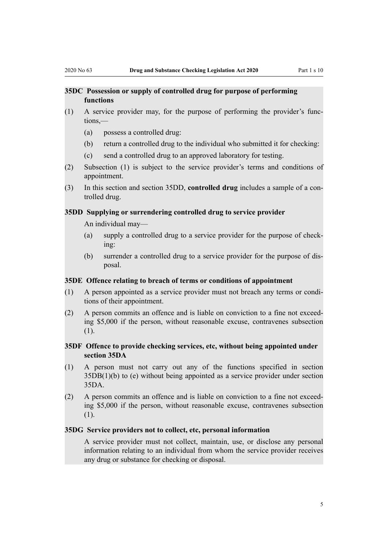## <span id="page-4-0"></span>**35DC Possession or supply of controlled drug for purpose of performing functions**

- (1) A service provider may, for the purpose of performing the provider's functions,—
	- (a) possess a controlled drug:
	- (b) return a controlled drug to the individual who submitted it for checking:
	- (c) send a controlled drug to an approved laboratory for testing.
- (2) Subsection (1) is subject to the service provider's terms and conditions of appointment.
- (3) In this section and section 35DD, **controlled drug** includes a sample of a controlled drug.

#### **35DD Supplying or surrendering controlled drug to service provider**

An individual may—

- (a) supply a controlled drug to a service provider for the purpose of checking:
- (b) surrender a controlled drug to a service provider for the purpose of disposal.

#### **35DE Offence relating to breach of terms or conditions of appointment**

- (1) A person appointed as a service provider must not breach any terms or conditions of their appointment.
- (2) A person commits an offence and is liable on conviction to a fine not exceeding \$5,000 if the person, without reasonable excuse, contravenes subsection (1).

# **35DF Offence to provide checking services, etc, without being appointed under section 35DA**

- (1) A person must not carry out any of the functions specified in section 35DB(1)(b) to (e) without being appointed as a service provider under section 35DA.
- (2) A person commits an offence and is liable on conviction to a fine not exceeding \$5,000 if the person, without reasonable excuse, contravenes subsection (1).

#### **35DG Service providers not to collect, etc, personal information**

A service provider must not collect, maintain, use, or disclose any personal information relating to an individual from whom the service provider receives any drug or substance for checking or disposal.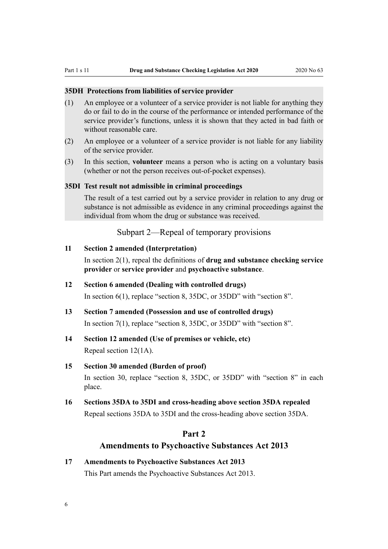#### <span id="page-5-0"></span>**35DH Protections from liabilities of service provider**

- (1) An employee or a volunteer of a service provider is not liable for anything they do or fail to do in the course of the performance or intended performance of the service provider's functions, unless it is shown that they acted in bad faith or without reasonable care.
- (2) An employee or a volunteer of a service provider is not liable for any liability of the service provider.
- (3) In this section, **volunteer** means a person who is acting on a voluntary basis (whether or not the person receives out-of-pocket expenses).

#### **35DI Test result not admissible in criminal proceedings**

The result of a test carried out by a service provider in relation to any drug or substance is not admissible as evidence in any criminal proceedings against the individual from whom the drug or substance was received.

Subpart 2—Repeal of temporary provisions

#### **11 Section 2 amended (Interpretation)**

In [section 2\(1\),](http://legislation.govt.nz/pdflink.aspx?id=DLM436106) repeal the definitions of **drug and substance checking service provider** or **service provider** and **psychoactive substance**.

- **12 Section 6 amended (Dealing with controlled drugs)** In [section 6\(1\)](http://legislation.govt.nz/pdflink.aspx?id=DLM436222), replace "section 8, 35DC, or 35DD" with "section 8".
- **13 Section 7 amended (Possession and use of controlled drugs)** In [section 7\(1\)](http://legislation.govt.nz/pdflink.aspx?id=DLM436239), replace "section 8, 35DC, or 35DD" with "section 8".

# **14 Section 12 amended (Use of premises or vehicle, etc)**

Repeal [section 12\(1A\).](http://legislation.govt.nz/pdflink.aspx?id=DLM436276)

### **15 Section 30 amended (Burden of proof)**

In [section 30,](http://legislation.govt.nz/pdflink.aspx?id=DLM436507) replace "section 8, 35DC, or 35DD" with "section 8" in each place.

**16 Sections 35DA to 35DI and cross-heading above section 35DA repealed** Repeal sections 35DA to 35DI and the cross-heading above section 35DA.

# **Part 2**

# **Amendments to Psychoactive Substances Act 2013**

# **17 Amendments to Psychoactive Substances Act 2013**

This Part amends the [Psychoactive Substances Act 2013.](http://legislation.govt.nz/pdflink.aspx?id=DLM5042900)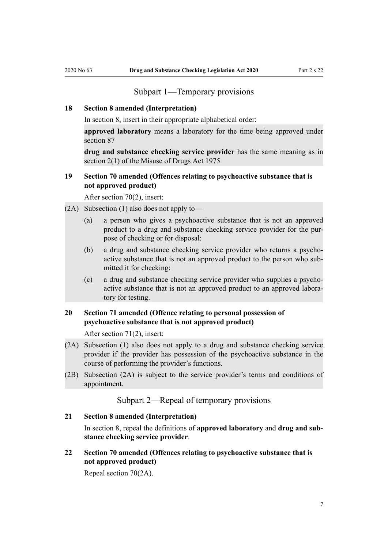# Subpart 1—Temporary provisions

#### <span id="page-6-0"></span>**18 Section 8 amended (Interpretation)**

In [section 8,](http://legislation.govt.nz/pdflink.aspx?id=DLM5042935) insert in their appropriate alphabetical order:

**approved laboratory** means a laboratory for the time being approved under section 87

**drug and substance checking service provider** has the same meaning as in section 2(1) of the Misuse of Drugs Act 1975

# **19 Section 70 amended (Offences relating to psychoactive substance that is not approved product)**

After [section 70\(2\),](http://legislation.govt.nz/pdflink.aspx?id=DLM5043096) insert:

- (2A) Subsection (1) also does not apply to—
	- (a) a person who gives a psychoactive substance that is not an approved product to a drug and substance checking service provider for the purpose of checking or for disposal:
	- (b) a drug and substance checking service provider who returns a psychoactive substance that is not an approved product to the person who submitted it for checking:
	- (c) a drug and substance checking service provider who supplies a psychoactive substance that is not an approved product to an approved laboratory for testing.

# **20 Section 71 amended (Offence relating to personal possession of psychoactive substance that is not approved product)**

After [section 71\(2\),](http://legislation.govt.nz/pdflink.aspx?id=DLM5043097) insert:

- (2A) Subsection (1) also does not apply to a drug and substance checking service provider if the provider has possession of the psychoactive substance in the course of performing the provider's functions.
- (2B) Subsection (2A) is subject to the service provider's terms and conditions of appointment.

Subpart 2—Repeal of temporary provisions

#### **21 Section 8 amended (Interpretation)**

In [section 8](http://legislation.govt.nz/pdflink.aspx?id=DLM5042935), repeal the definitions of **approved laboratory** and **drug and substance checking service provider**.

**22 Section 70 amended (Offences relating to psychoactive substance that is not approved product)**

Repeal [section 70\(2A\).](http://legislation.govt.nz/pdflink.aspx?id=DLM5043096)